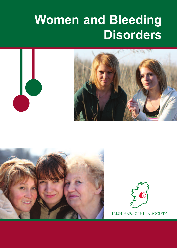# **Women and Bleeding Disorders**







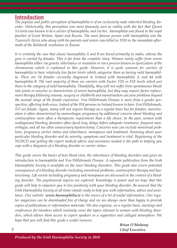# **Introduction**

*The popular and public perception of haemophilia is of an exclusively male inherited bleeding disorder. Historically, this perception was most famously seen as reality with the fact that Queen Victoria was known to be a carrier of haemophilia, and via her, haemophilia was found in the royal families of Great Britian, Spain and Russia. The most famous person with haemophilia was the Tzarevich Alexis who along with his parents and sisters was killed in 1918 in the immediate aftermath of the Bolshevik revolution in Russia.*

*It is certainly the case that classic haemophilia A and B are found primarily in males, wheras the gene is carried by females. This is far from the complete story. Women rarely suffer from severe haemophilia either via genetic inheritance or mutation or via a process known as lyonization of the chromosome which is explained in this guide. However, it is quite common for carriers of haemophilia to have relatively low factor levels which categorise them as having mild haemophilia. There are 54 females currently diagnosed in Ireland with haemophilia A and 44 with haemophilia B. The vast majority of these are carriers with Factor VIII or FIX levels which put them in the category of mild haemophilia. Thankfully, they will not suffer from spontaneous bleeds into joints or muscles so characteristic of severe haemophilia, but they may require factor replacement therapy following trauma, surgery or childbirth and menstruation can pose problems beyond the normal range of the female experience. Von Willebrands Disease is more from a gender perspective, affecting both sexes. Indeed of the 918 persons in Ireland known to have Von Willebrands, 537 are female. Again, many will not require therapy on a regular basis but for females, menstruation is often characterised by menorrhagia, pregnancy by additional concern about bleeding and contraception more often a therapeutic requirement than a life choice. In the past, women with undiagnosed bleeding disorders often faced long delays before adequate treatment, frequent menorrhagia, and all too often unnecessary hysterectomy. Concerns now can include menstrual problems, pregnancy carrier status and inheritance, menopause and treatment. Knowing about your particular bleeding disorder and its severity, symptoms and treatment is vital. Registering at the NCHCD and getting the expert medical advice and assistance needed is the path to helping you cope with a diagnosis of a bleeding disorder or carrier status.*

*This guide covers the basics of how blood clots, the inheritance of bleeding disorders and gives an introduction to haemophilia and Von Willebrands Disease. A separate publication from the Irish Haemophilia Society is available on the rarer bleeding disorders. This guide also covers potential consequences of a bleeding disorder including menstrual problems, contraceptive therapy and hysterectomy. Life events including pregnancy and menopause are discussed in the context of a bleeding disorder. The psychosocial aspects are explored. Knowledge is power and we hope that this guide will help to empower you to live positively with your bleeding disorder. Be assured that the Irish Haemophilia Society at all times stands ready to help you with information, advice and assistance. Our website www.haemophilia.ie is the source of a lot of useful information. Our regular magazines can be downloaded free of charge and we are always more than happy to provide copies of publications or information materials. We also organise, on a regular basis, meetings and conferences for members which routinely cover the topics relevant to women with bleeding disorders, which allows them access to expert speakers in a supportive and collegial atmosphere. We hope that you will find this guide a useful resource.*

*Brian O'Mahony 2 Chief Executive*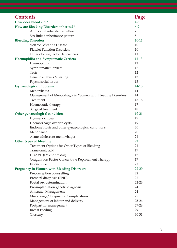| <b>Contents</b>                                            | <u>Page</u> |  |  |
|------------------------------------------------------------|-------------|--|--|
| How does blood clot?                                       |             |  |  |
| How are Bleeding Disorders inherited?                      |             |  |  |
| Autosomal inheritance pattern                              | 7           |  |  |
| Sex-linked inheritance pattern                             | 8           |  |  |
| <b>Bleeding Disorders</b>                                  |             |  |  |
| Von Willebrands Disease                                    | 10          |  |  |
| <b>Platelet Function Disorders</b>                         | 10          |  |  |
| Other clotting factor deficiencies                         |             |  |  |
| Haemophilia and Symptomatic Carriers                       |             |  |  |
| Haemophilia                                                | 11          |  |  |
| <b>Symptomatic Carriers</b>                                | 12          |  |  |
| Tests                                                      | 12          |  |  |
| Genetic analysis & testing                                 | 13          |  |  |
| Psychosocial issues                                        | 13          |  |  |
| <b>Gynaecological Problems</b>                             | 14-18       |  |  |
| Menorrhagia                                                | 14          |  |  |
| Management of Menorrhagia in Women with Bleeding Disorders | 14          |  |  |
| Treatment                                                  | 15-16       |  |  |
| Haemostatic therapy                                        | 17          |  |  |
| Surgical treatment                                         | 18          |  |  |
| Other gynaecological conditions                            | 19-21       |  |  |
| Dysmenorrhoea                                              | 19          |  |  |
| Haemorrhagic ovarian cysts                                 | 19          |  |  |
| Endometriosis and other gynaecological conditions          | 20          |  |  |
| Menopause                                                  | 20          |  |  |
| Acute adolescent menorrhagia                               | 21          |  |  |
| Other types of bleeding                                    |             |  |  |
| Treatment Options for Other Types of Bleeding              | 21          |  |  |
| Tranexamic acid                                            | 17          |  |  |
| DDAVP (Desmopressin)                                       | 17          |  |  |
| Coagulation Factor Concentrate Replacement Therapy         | 17          |  |  |
| Fibrin Glue                                                | 21          |  |  |
| <b>Pregnancy in Women with Bleeding Disorders</b>          | $22 - 29$   |  |  |
| Preconception counselling                                  | 22          |  |  |
| Prenatal diagnosis (PND)                                   | 22          |  |  |
| Foetal sex determination                                   | $22 - 23$   |  |  |
| Pre-implantation genetic diagnosis                         | 24          |  |  |
| Antenatal Management                                       | 24          |  |  |
| Miscarriage/ Pregnancy Complications                       | 25          |  |  |
| Management of labour and delivery                          | $25 - 26$   |  |  |
| Postpartum management                                      | 27-28       |  |  |
| Breast Feeding                                             | 29          |  |  |
| Glossary                                                   | 30-31       |  |  |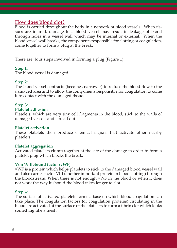# **How does blood clot?**

Blood is carried throughout the body in a network of blood vessels. When tissues are injured, damage to a blood vessel may result in leakage of blood through holes in a vessel wall which may be internal or external. When the blood vessel wall breaks, the components responsible for clotting or coagulation, come together to form a plug at the break.

There are four steps involved in forming a plug (Figure 1):

# **Step 1**:

The blood vessel is damaged.

# **Step 2**:

The blood vessel contracts (becomes narrower) to reduce the blood flow to the damaged area and to allow the components responsible for coagulation to come into contact with the damaged tissue.

# **Step 3:**

#### **Platelet adhesion**

Platelets, which are very tiny cell fragments in the blood, stick to the walls of damaged vessels and spread out.

# **Platelet activation**

These platelets then produce chemical signals that activate other nearby platelets.

# **Platelet aggregation**

Activated platelets clump together at the site of the damage in order to form a platelet plug which blocks the break.

# **Von Willebrand factor (vWF)**

vWF is a protein which helps platelets to stick to the damaged blood vessel wall and also carries factor VIII (another important protein in blood clotting) through the bloodstream. When there is not enough vWF in the blood or when it does not work the way it should the blood takes longer to clot.

# **Step 4**:

The surface of activated platelets forms a base on which blood coagulation can take place. The coagulation factors (or coagulation proteins) circulating in the blood are activated at the surface of the platelets to form a fibrin clot which looks something like a mesh.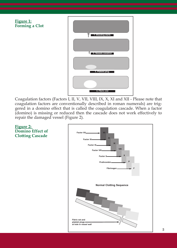

Coagulation factors (Factors I, II, V, VII, VIII, IX, X, XI and XII - Please note that coagulation factors are conventionally described in roman numerals) are triggered in a domino effect that is called the coagulation cascade. When a factor (domino) is missing or reduced then the cascade does not work effectively to repair the damaged vessel (Figure 2).

**Figure 2: Domino Effect of Clotting Cascade**

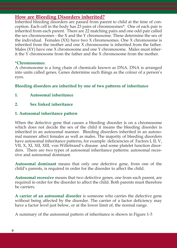# **How are Bleeding Disorders inherited?**

Inherited bleeding disorders are passed from parent to child at the time of conception. Each cell in the body has 23 pairs of chromosomes\*. One of each pair is inherited from each parent. There are 22 matching pairs and one odd pair called the sex chromosomes - the X and the Y chromosome. These determine the sex of the individual. Females (XX) have two X chromosomes. One X chromosome is inherited from the mother and one X chromosome is inherited from the father. Males (XY) have one X chromosome and one Y chromosome. Males must inherit the Y chromosome from the father and the X chromosome from the mother.

# **\*Chromosomes:**

A chromosome is a long chain of chemicals known as DNA. DNA is arranged into units called genes. Genes determine such things as the colour of a person's eyes.

# **Bleeding disorders are inherited by one of two patterns of inheritance**

**1. Autosomal inheritance**

# **2. Sex linked inheritance**

# **1. Autosomal inheritance pattern**

When the defective gene that causes a bleeding disorder is on a chromosome which does not decide the sex of the child it means the bleeding disorder is inherited in an autosomal manner. Bleeding disorders inherited in an autosomal manner affect females as well as males. The majority of bleeding disorders have autosomal inheritance patterns, for example deficiencies of Factors I, II, V, VII, X, XI, XII, XIII, von Willebrand's disease and some platelet function disorders. There are two types of autosomal inheritance patterns: autosomal recessive and autosomal dominant.

**Autosomal dominant** means that only one defective gene, from one of the child's parents, is required in order for the disorder to affect the child.

**Autosomal recessive** means that two defective genes, one from each parent, are required in order for the disorder to affect the child. Both parents must therefore be carriers.

**A carrier of an autosomal disorder** is someone who carries the defective gene without being affected by the disorder. The carrier of a factor deficiency may have a factor level just below, or at the lower limit of, the normal range.

A summary of the autosomal pattern of inheritance is shown in Figure 1-3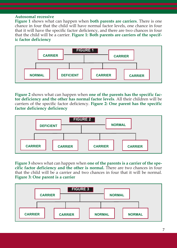#### **Autosomal recessive**

**Figure 1** shows what can happen when **both parents are carriers**. There is one chance in four that the child will have normal factor levels, one chance in four that it will have the specific factor deficiency, and there are two chances in four that the child will be a carrier. **Figure 1: Both parents are carriers of the specific factor deficiency**



**Figure 2** shows what can happen when **one of the parents has the specific factor deficiency and the other has normal factor levels**. All their children will be carriers of the specific factor deficiency. **Figure 2: One parent has the specific factor deficiency deficiency**



**Figure 3** shows what can happen when **one of the parents is a carrier of the specific factor deficiency and the other is normal.** There are two chances in four that the child will be a carrier and two chances in four that it will be normal. **Figure 3: One parent is a carrier**

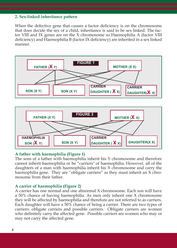# **2. Sex-linked inheritance pattern**

When the defective gene that causes a factor deficiency is on the chromosome that does decide the sex of a child, inheritance is said to be sex linked. The factor VIII and IX genes are on the X chromosome so Haemophilia A (factor VIII deficiency) and Haemophilia B (factor IX deficiency) are inherited in a sex linked manner.





# **A father with haemophilia (Figure 1)**

The sons of a father with haemophilia inherit his Y chromosome and therefore cannot inherit haemophilia or be "carriers" of haemophilia. However, all of the daughters of a man with haemophilia inherit his X chromosome and carry the haemophilia gene. They are "obligate carriers" as they must inherit an X chromosome from their father.

# **A carrier of haemophilia (Figure 2)**

A carrier has one normal and one abnormal X chromosome. Each son will have a 50% chance of having haemophilia. As men only inherit one X chromosome they will be affected by haemophilia and therefore are not referred to as carriers. Each daughter will have a 50% chance of being a carrier. There are two types of carriers: obligate carriers and possible carriers. Obligate carriers are women who definitely carry the affected gene. Possible carriers are women who may or may not carry the affected gene.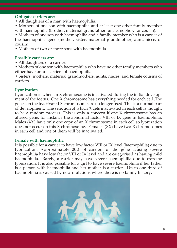# **Obligate carriers are:**

- All daughters of a man with haemophilia.
- Mothers of one son with haemophilia and at least one other family member with haemophilia (brother, maternal grandfather, uncle, nephew, or cousin).

• Mothers of one son with haemophilia and a family member who is a carrier of the haemophilia gene (mother, sister, maternal grandmother, aunt, niece, or cousin).

• Mothers of two or more sons with haemophilia.

# **Possible carriers are**:

- All daughters of a carrier.
- Mothers of one son with haemophilia who have no other family members who either have or are carriers of haemophilia.

• Sisters, mothers, maternal grandmothers, aunts, nieces, and female cousins of carriers.

# **Lyonization**

Lyonization is when an X chromosome is inactivated during the initial development of the foetus. One X chromosome has everything needed for each cell .The genes on the inactivated X chromosome are no longer used. This is a normal part of development. The selection of which X gets inactivated in each cell is thought to be a random process. This is only a concern if one X chromosome has an altered gene, for instance the abnormal factor VIII or IX gene in haemophilia. Males  $(\overline{XY})$  have only one copy of an X chromosome in each cell so lyonization does not occur on this X chromosome. Females (XX) have two X chromosomes in each cell and one of them will be inactivated.

# **Female with haemophilia**

It is possible for a carrier to have low factor VIII or IX level (haemophilia) due to lyonization. Approximately 20% of carriers of the gene causing severe haemophilia have low factor VIII or IX level and are categorised as having mild haemophilia. Rarely, a carrier may have severe haemophilia due to extreme lyonization. It is also possible for a girl to have severe haemophilia if her father is a person with haemophilia and her mother is a carrier. Up to one third of haemophilia is caused by new mutations where there is no family history.

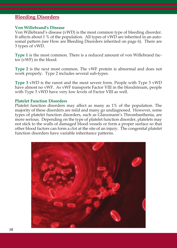# **Bleeding Disorders**

#### **Von Willebrand's Disease**

Von Willebrand's disease (vWD) is the most common type of bleeding disorder. It affects about 1 % of the population. All types of vWD are inherited in an autosomal pattern (see How are Bleeding Disorders inherited on page 6). There are 3 types of vWD.

**Type 1** is the most common. There is a reduced amount of von Willebrand factor (vWF) in the blood.

**Type 2** is the next most common. The vWF protein is abnormal and does not work properly. Type 2 includes several sub-types.

**Type 3** vWD is the rarest and the most severe form. People with Type 3 vWD have almost no vWF. As vWF transports Factor VIII in the bloodstream, people with Type 3 vWD have very low levels of Factor VIII as well.

#### **Platelet Function Disorders**

Platelet function disorders may affect as many as 1% of the population. The majority of these disorders are mild and many go undiagnosed. However, some types of platelet function disorders, such as Glanzmann's Thrombasthenia, are more serious. Depending on the type of platelet function disorder, platelets may not stick to the walls of damaged blood vessels or form a proper surface so that other blood factors can form a clot at the site of an injury. The congenital platelet function disorders have variable inheritance patterns.

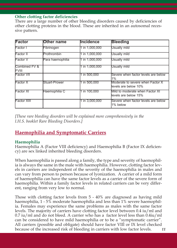# **Other clotting factor deficiencies**

There are a large number of other bleeding disorders caused by deficiencies of other clotting proteins in the blood. These are inherited in an autosomal recessive pattern.

| <b>Factor</b>                 | Other name       | <b>Incidence</b> | <b>Bleeding</b>                                           |
|-------------------------------|------------------|------------------|-----------------------------------------------------------|
| Factor I                      | Fibrinogen       | 1 in 1.000.000   | Usually mild                                              |
| Factor II                     | Prothrombin      | 1 in 1.000.000   | Usually mild                                              |
| Factor V                      | Para haemophilia | 1 in 1.000.000   | Usually mild                                              |
| Combined FV &<br><b>FVIII</b> |                  | 1 in 1.000.000   | Usually mild                                              |
| <b>Factor VII</b>             |                  | 1 in 500.000     | Severe when factor levels are below<br>1%                 |
| Factor X                      | Stuart-Prower    | 1 in 500,000     | Moderate to severe when Factor X<br>llevels are below 10% |
| Factor XI                     | Haemophilia C    | 1 in 100.000     | Mild to moderate when Factor XI<br>llevels are below 15%  |
| <b>Factor XIII</b>            |                  | 1 in 3,000,000   | Severe when factor levels are below<br>1% below           |

*[These rare bleeding disorders will be explained more comprehensively in the I.H.S. booklet Rare Bleeding Disorders.]*

# **Haemophilia and Symptomatic Carriers**

# **Haemophilia**

Haemophilia A (Factor VIII deficiency) and Haemophilia B (Factor IX deficiency) are sex linked inherited bleeding disorders.

When haemophilia is passed along a family, the type and severity of haemophilia is always the same in the male with haemophilia. However, clotting factor levels in carriers are independent of the severity of the haemophilia in males and can vary from person to person because of lyonization. A carrier of a mild form of haemophilia can have the same factor levels as a carrier of the severe form of haemophilia. Within a family factor levels in related carriers can be very different, ranging from very low to normal.

Those with clotting factor levels from 5 - 40% are diagnosed as having mild haemophilia, 1 - 5% moderate haemophilia and less than 1% severe haemophilia. Females may experience the same problems as males with the same factor levels. The majority of carriers have clotting factor level between 0.4 iu/ml and 0.7 iu/ml and do not bleed. A carrier who has a factor level less than 0.4iu/ml can be considered to have mild haemophilia or to be a "symptomatic carrier". All carriers (possible and obligate) should have factor VIII or IX level checked because of the increased risk of bleeding in carriers with low factor levels. *11*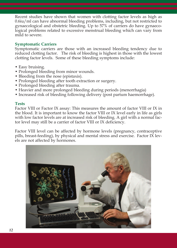Recent studies have shown that women with clotting factor levels as high as 0.6iu/ml can have abnormal bleeding problems, including, but not restricted to gynaecological and obstetric bleeding. Up to 57% of carriers do have gynaecological problems related to excessive menstrual bleeding which can vary from mild to severe.

# **Symptomatic Carriers**

Symptomatic carriers are those with an increased bleeding tendency due to reduced clotting factor. The risk of bleeding is highest in those with the lowest clotting factor levels. Some of these bleeding symptoms include:

- Easy bruising.
- Prolonged bleeding from minor wounds.
- Bleeding from the nose (epistaxis).
- Prolonged bleeding after tooth extraction or surgery.
- Prolonged bleeding after trauma.
- Heavier and more prolonged bleeding during periods (menorrhagia)
- Increased risk of bleeding following delivery (post partum haemorrhage).

# **Tests**

Factor VIII or Factor IX assay: This measures the amount of factor VIII or IX in the blood. It is important to know the factor VIII or IX level early in life as girls with low factor levels are at increased risk of bleeding. A girl with a normal factor level may still be a carrier of factor VIII or IX deficiency.

Factor VIII level can be affected by hormone levels (pregnancy, contraceptive pills, breast-feeding), by physical and mental stress and exercise. Factor IX levels are not affected by hormones.

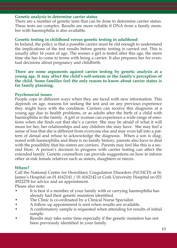# **Genetic analysis to determine carrier status**

There are a number of genetic tests that can be done to determine carrier status. These tests are complex. Results are more reliable if DNA from a family member with haemophilia is also available.

# **Genetic testing in childhood versus genetic testing in adulthood**

In Ireland, the policy is that a possible carrier must be old enough to understand the implications of the test results before genetic testing is carried out. This is usually after 16 years of age. The sooner a girl is tested after this age, the more time she has to come to terms with being a carrier. It also prepares her for eventual decisions about pregnancy and childbirth.

# **There are some arguments against carrier testing by genetic analysis at a young age. It may affect the child's self-esteem or the family's perception of the child. Some families feel the only reason to know about carrier status is for family planning.**

# **Psychosocial issues**

People cope in different ways when they are faced with new information. This depends on age, reasons for seeking the test and on any previous experience they might have with the condition. Carriers can receive this diagnosis at a young age due to health problems, or as adults after the birth of a child with haemophilia in the family. A girl or woman can experience a wide range of emotions when she finds out that she's a carrier. She may be afraid of what it will mean for her, her relationships and any children she may have. She may feel a sense of loss that she is different from everyone else and may even fall into a pattern of denial and refuse to acknowledge the diagnosis. When a son is diagnosed with haemophilia and there is no family history, parents also have to deal with the possibility that his sisters are carriers. Parents may feel like this is a second blow. A person's decision to progress with carrier testing can affect the extended family. Genetic counsellors can provide suggestions on how to inform other at-risk female relatives such as sisters, daughters or nieces.

# **Where?**

Call the National Centre for Hereditary Coagulation Disorders (NCHCD) at St. James's Hospital on 01 4162141 / 01 4162142 or Cork University Hospital on 021 4922278 for advice and an appointment.

Please also note:

- It is best if a member of your family with or carrying haemophilia has already had their genetic mutation identified.
- The Clinic is co-ordinated by a Clinical Nurse Specialist.
- A follow up appointment is sent when results are available.
- A confirmatory sample is requested when attending for results of initial sample.
- Results may take some time especially if the genetic mutation has not been previously identified in your family.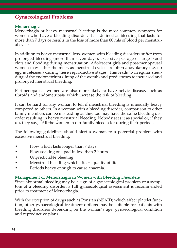# **Gynaecological Problems**

# **Menorrhagia**

Menorrhagia or heavy menstrual bleeding is the most common symptom for women who have a bleeding disorder. It is defined as bleeding that lasts for more than 7 days or results in the loss of more than 80 mls of blood per menstrual cycle.

In addition to heavy menstrual loss, women with bleeding disorders suffer from prolonged bleeding (more than seven days), excessive passage of large blood clots and flooding during menstruation. Adolescent girls and post-menopausal women may suffer the most, as menstrual cycles are often anovulatory (i.e. no egg is released) during these reproductive stages. This leads to irregular shedding of the endometrium (lining of the womb) and predisposes to increased and prolonged menstrual bleeding.

Perimenopausal women are also more likely to have pelvic disease, such as fibroids and endometriosis, which increase the risk of bleeding.

It can be hard for any woman to tell if menstrual bleeding is unusually heavy compared to others. In a woman with a bleeding disorder, comparison to other family members can be misleading as they too may have the same bleeding disorder resulting in heavy menstrual bleeding. Nobody sees it as special or, if they do, they say, "All the women in our family bleed a lot during their periods."

The following guidelines should alert a woman to a potential problem with excessive menstrual bleeding:

- Flow which lasts longer than 7 days.
- Flow soaking one pad in less than 2 hours.
- Unpredictable bleeding.
- Menstrual bleeding which affects quality of life.
- Periods heavy enough to cause anaemia.

# **Management of Menorrhagia in Women with Bleeding Disorders**

Since abnormal bleeding may be a sign of a gynaecological problem or a symptom of a bleeding disorder, a full gynaecological assessment is recommended prior to treatment of Menorrhagia.

With the exception of drugs such as Ponstan (NSAID) which affect platelet function, other gynaecological treatment options may be suitable for patients with bleeding disorders depending on the woman's age, gynaecological condition and reproductive plans.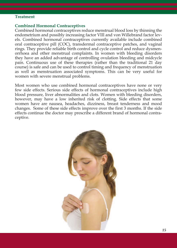#### **Treatment**

#### **Combined Hormonal Contraceptives**

Combined hormonal contraceptives reduce menstrual blood loss by thinning the endometrium and possibly increasing factor VIII and von Willebrand factor levels. Combined hormonal contraceptives currently available include combined oral contraceptive pill (COC), transdermal contraceptive patches, and vaginal rings. They provide reliable birth control and cycle control and reduce dysmenorrhoea and other menstrual complaints. In women with bleeding disorders they have an added advantage of controlling ovulation bleeding and midcycle pain. Continuous use of these therapies (rather than the traditional 21 day course) is safe and can be used to control timing and frequency of menstruation as well as menstruation associated symptoms. This can be very useful for women with severe menstrual problems.

Most women who use combined hormonal contraceptives have none or very few side effects. Serious side effects of hormonal contraceptives include high blood pressure, liver abnormalities and clots. Women with bleeding disorders, however, may have a low inherited risk of clotting. Side effects that some women have are nausea, headaches, dizziness, breast tenderness and mood changes. Some of these side effects improve over the first 3 months. If the side effects continue the doctor may prescribe a different brand of hormonal contraceptive.

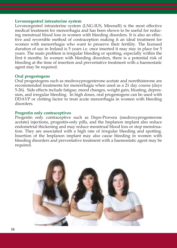#### **Levonorgestrel intrauterine system**

Levonorgestrel intrauterine system (LNG-IUS, Mirena®) is the most effective medical treatment for menorrhagia and has been shown to be useful for reducing menstrual blood loss in women with bleeding disorders. It is also an effective and reversible method of contraception making it an ideal treatment for women with menorrhagia who want to preserve their fertility. The licensed duration of use in Ireland is 5 years i.e. once inserted it may stay in place for 5 years. The main problem is irregular bleeding or spotting, especially within the first 6 months. In women with bleeding disorders, there is a potential risk of bleeding at the time of insertion and preventative treatment with a haemostatic agent may be required.

# **Oral progestogens**

Oral progestogens such as medroxyprogesterone acetate and norethisterone are recommended treatments for menorrhagia when used as a 21 day course (days 5-26). Side effects include fatigue, mood changes, weight gain, bloating, depression, and irregular bleeding. In high doses, oral progestogens can be used with DDAVP or clotting factor to treat acute menorrhagia in women with bleeding disorders.

#### **Progestin only contraceptives**

Progestin only contraceptive such as Depo-Provera (medroxyprogesterone acetate) injections, progestin-only pills, and the Implanon implant also reduce endometrial thickening and may reduce menstrual blood loss or stop menstruation. They are associated with a high rate of irregular bleeding and spotting. Insertion of the Implanon implant may also cause bleeding in women with bleeding disorders and preventative treatment with a haemostatic agent may be required.

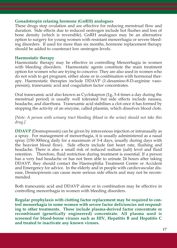# **Gonadotropin relasing hormone (GnRH) analogues**

These drugs stop ovulation and are effective for reducing menstrual flow and duration. Side effects due to reduced oestrogen include hot flushes and loss of bone density (which is reversible). GnRH analogues may be an alternative option to surgery for young women with resistant menorrhagia or severe bleeding disorders. If used for more than six months, hormone replacement therapy should be added to counteract low oestrogen levels.

# **Haemostatic therapy**

Haemostatic therapy may be effective in controlling Menorrhagia in women with bleeding disorders. Haemostatic agents constitute the main treatment option for women who are trying to conceive. They are also used in women who do not wish to get pregnant, either alone or in combination with hormonal therapy. Haemostatic therapies include DDAVP (1-desamino-8-D-arginine vasopressin), tranexamic acid and coagulation factor concentrates.

Oral tranexamic acid also known as Cyclokapron (1g, 3-4 times a day during the menstrual period) is usually well tolerated but side effects include nausea, headache, and diarrhoea. Tranexamic acid stabilises a clot once it has formed by stopping the activity of an enzyme, called plasmin, which dissolves blood clots.

*[Note: A person with urinary tract bleeding (blood in the urine) should not take this drug.]*

**DDAVP** (Desmopressin) can be given by intravenous injection or intranasally as a spray. For management of menorrhagia, it is usually administered as a nasal spray (150-300mcg daily for a maximum of 3-4 days, usually during days with the heaviest blood flow). Side effects include fast heart rate, flushing and headache. There is also a small risk of reduced sodium (salt) level and fluid retention. Therefore, fluid restriction during treatment is essential. If a person has a very bad headache or has not been able to urinate 24 hours after taking DDAVP, they should contact the Haemophilia Treatment Centre or Accident and Emergency for advice. In the elderly and in people with cardiovascular disease, Desmopressin can cause more serious side effects and may not be recommended.

Both tranexamic acid and DDAVP alone or in combination may be effective in controlling menorrhagia in women with bleeding disorders.

**Regular prophylaxis with clotting factor replacement may be required to control menorrhagia in some women with severe factor deficiencies not responding to other treatments. These include plasma-derived factor concentrate or recombinant (genetically engineered) concentrate. All plasma used is screened for blood-borne viruses such as HIV, Hepatitis B and Hepatitis C and treated to inactivate any known viruses.**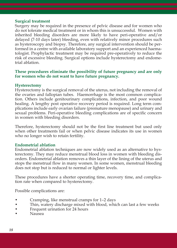# **Surgical treatment**

Surgery may be required in the presence of pelvic disease and for women who do not tolerate medical treatment or in whom this is unsuccessful. Women with inherited bleeding disorders are more likely to have peri-operative and/or delayed (7-10 days later) bleeding, even with relatively minor procedures such as hysteroscopy and biopsy. Therefore, any surgical intervention should be performed in a centre with available laboratory support and an experienced haematologist. Prophylactic treatment may be required pre-operatively to reduce the risk of excessive bleeding. Surgical options include hysterectomy and endometrial ablation.

# **These procedures eliminate the possibility of future pregnancy and are only for women who do not want to have future pregnancy.**

# **Hysterectomy**

Hysterectomy is the surgical removal of the uterus, not including the removal of the ovaries and fallopian tubes. Haemorrhage is the most common complication. Others include genitourinary complications, infection, and poor wound healing. A lengthy post operative recovery period is required. Long term complications include early ovarian failure (premature menopause) and urinary and sexual problems. Peri-operative bleeding complications are of specific concern in women with bleeding disorders.

Therefore, hysterectomy should not be the first line treatment but used only when other treatments fail or when pelvic disease indicates its use in women who no longer wish to retain fertility.

# **Endometrial ablation**

Endometrial ablation techniques are now widely used as an alternative to hysterectomy. They may reduce menstrual blood loss in women with bleeding disorders. Endometrial ablation removes a thin layer of the lining of the uterus and stops the menstrual flow in many women. In some women, menstrual bleeding does not stop but is reduced to normal or lighter levels.

These procedures have a shorter operating time, recovery time, and complication rate when compared to hysterectomy.

Possible complications are:

- Cramping, like menstrual cramps for 1–2 days
- Thin, watery discharge mixed with blood, which can last a few weeks
- Frequent urination for 24 hours
- Nausea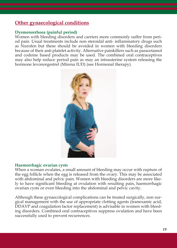# **Other gynaecological conditions**

# **Dysmenorrhoea (painful period)**

Women with bleeding disorders and carriers more commonly suffer from period pain. Usual treatments include non steroidal anti- inflammatory drugs such as Nurofen but these should be avoided in women with bleeding disorders because of their anti platelet activity. Alternative painkillers such as paracetamol and codeine based products may be used. The combined oral contraceptives may also help reduce period pain as may an intrauterine system releasing the hormone levonorgestrel (Mirena IUD) (see Hormonal therapy).



# **Haemorrhagic ovarian cysts**

When a woman ovulates, a small amount of bleeding may occur with rupture of the egg follicle when the egg is released from the ovary. This may be associated with abdominal and pelvic pain. Women with bleeding disorders are more likely to have significant bleeding at ovulation with resulting pain, haemorrhagic ovarian cysts or even bleeding into the abdominal and pelvic cavity.

Although these gynaecological complications can be treated surgically, non surgical management with the use of appropriate clotting agents (tranexamic acid, DDAVP and coagulation factor replacement) is advisable in women with bleeding disorders. Combined oral contraceptives suppress ovulation and have been successfully used to prevent recurrences.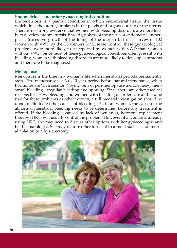#### **Endometriosis and other gynaecological conditions**

Endometriosis is a painful condition in which endometrial tissue, the tissue which lines the uterus, implants in the pelvis and organs outside of the uterus. There is no strong evidence that women with bleeding disorders are more likely to develop endometriosis, fibroids, polyps of the uterus or endometrial hyperplasia (excessive growth of the lining of the uterus) but in a survey of 102 women with vWD by the US Centers for Disease Control, these gynaecological problems were more likely to be reported by women with vWD than women without vWD. Since most of these gynaecological conditions often present with bleeding, women with bleeding disorders are more likely to develop symptoms and therefore to be diagnosed.

#### **Menopause**

Menopause is the time in a woman's life when menstrual periods permanently stop. Peri-menopause is a 3 to 10-year period before natural menopause, when hormones are "in transition." Symptoms of peri-menopause include heavy menstrual bleeding, irregular bleeding and spotting. Since there are other medical reasons for heavy bleeding, and women with bleeding disorders are at the same risk for these problems as other women, a full medical investigation should be done to eliminate other causes of bleeding. As in all women, the cause of the abnormal menstrual bleeding needs to be determined before any treatment is offered. If the bleeding is caused by lack of ovulation, hormone replacement therapy (HRT) will usually control the problem. However, if a woman is already using HRT, she may need to discuss other options with her gynaecologist and her haematologist. She may require other forms of treatment such as endometrial ablation or a hysterectomy.

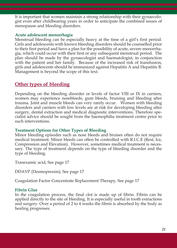It is important that women maintain a strong relationship with their gynaecologist even after childbearing years in order to anticipate the combined issues of menopause and bleeding disorders.

# **Acute adolescent menorrhagia**

Menstrual bleeding can be especially heavy at the time of a girl's first period. Girls and adolescents with known bleeding disorders should be counselled prior to their first period and have a plan for the possibility of acute, severe menorrhagia, which could occur with their first or any subsequent menstrual period. The plan should be made by the gynaecologist and haematologist, in conjunction with the patient and her family. Because of the increased risk of transfusion, girls and adolescents should be immunized against Hepatitis A and Hepatitis B. Management is beyond the scope of this text.

# **Other types of bleeding**

Depending on the bleeding disorder or levels of factor VIII or IX in carriers, women may experience nosebleeds, gum bleeds, bruising and bleeding after trauma. Joint and muscle bleeds can very rarely occur. Women with bleeding disorders and carriers with low levels are at risk for developing bleeding after surgery, dental extraction and medical diagnostic interventions. Therefore specialist advice should be sought from the haemophilia treatment centre prior to such interventions.

# **Treatment Options for Other Types of Bleeding**

Minor bleeding episodes such as nose bleeds and bruises often do not require medical treatment. Minor bleeds can often be controlled with R.I.C.E (Rest, Ice, Compression and Elevation). However, sometimes medical treatment is necessary. The type of treatment depends on the type of bleeding disorder and the type of bleeding.

Tranexamic acid, See page 17

DDAVP (Desmopressin), See page 17

Coagulation Factor Concentrate Replacement Therapy, See page 17

# **Fibrin Glue**

In the coagulation process, the final clot is made up of fibrin. Fibrin can be applied directly to the site of bleeding. It is especially useful in tooth extractions and surgery. Over a period of 2 to 4 weeks the fibrin is absorbed by the body as healing progresses.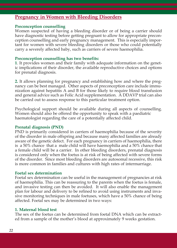# **Pregnancy in Women with Bleeding Disorders**

#### **Preconception counselling**

Women suspected of having a bleeding disorder or of being a carrier should have diagnostic testing before getting pregnant to allow for appropriate preconception counselling and early pregnancy management. This is especially important for women with severe bleeding disorders or those who could potentially carry a severely affected baby, such as carriers of severe haemophilia.

#### **Preconception counselling has two benefits:**

**1**. It provides women and their family with adequate information on the genetic implications of their disorder, the available reproductive choices and options for prenatal diagnosis.

**2.** It allows planning for pregnancy and establishing how and where the pregnancy can be best managed. Other aspects of preconception care include immunization against hepatitis A and B for those likely to require blood transfusion and general advice such as Folic Acid supplementation. A DDAVP trial can also be carried out to assess response to this particular treatment option.

Psychological support should be available during all aspects of counselling. Women should also be offered the opportunity to speak with a paediatric haematologist regarding the care of a potentially affected child.

#### **Prenatal diagnosis (PND)**

PND is primarily considered in carriers of haemophilia because of the severity of the disorder in male offspring and because many affected families are already aware of the genetic defect. For each pregnancy in carriers of haemophilia, there is a 50% chance that a male child will have haemophilia and a 50% chance that a female child will be a carrier. In other bleeding disorders, prenatal diagnosis is considered only when the foetus is at risk of being affected with severe forms of the disorder. Since most bleeding disorders are autosomal recessive, this risk is more common in families and cultures with high rates of intermarriage.

#### **Foetal sex determination**

Foetal sex determination can be useful in the management of pregnancies at risk of haemophilia. This can be reassuring to the parents when the foetus is female, and invasive testing can then be avoided. It will also enable the management plan for labour and delivery to be refined to avoid using instruments and invasive monitoring techniques in male foetuses, which have a 50% chance of being affected. Foetal sex may be determined in two ways:

#### **1. Maternal blood test**

The sex of the foetus can be determined from foetal DNA which can be extracted from a sample of the mother's blood at approximately 9 weeks gestation.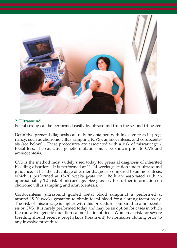

# **2. Ultrasound**

Foetal sexing can be performed easily by ultrasound from the second trimester.

Definitive prenatal diagnosis can only be obtained with invasive tests in pregnancy, such as chorionic villus sampling (CVS), amniocentesis, and cordocentesis (see below). These procedures are associated with a risk of miscarriage / foetal loss. The causative genetic mutation must be known prior to CVS and amniocentesis.

CVS is the method most widely used today for prenatal diagnosis of inherited bleeding disorders. It is performed at 11–14 weeks gestation under ultrasound guidance. It has the advantage of earlier diagnosis compared to amniocentesis, which is performed at 15-20 weeks gestation. Both are associated with an approximately 1% risk of miscarriage. See glossary for further information on chorionic villus sampling and amniocentesis.

Cordocentesis (ultrasound guided foetal blood sampling) is performed at around 18-20 weeks gestation to obtain foetal blood for a clotting factor assay. The risk of miscarriage is higher with this procedure compared to amniocentesis or CVS. It is rarely performed today and may be an option for cases in which the causative genetic mutation cannot be identified. Women at risk for severe bleeding should receive prophylaxis (treatment) to normalise clotting prior to any invasive procedure.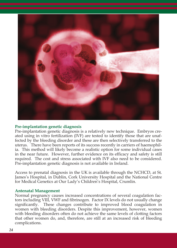

# **Pre-implantation genetic diagnosis**

Pre-implantation genetic diagnosis is a relatively new technique. Embryos created using in vitro fertilization (IVF) are tested to identify those that are unaffected by the bleeding disorder and these are then selectively transferred to the uterus. There have been reports of its success recently in carriers of haemophilia. This method will likely become a realistic option for some individual cases in the near future. However, further evidence on its efficacy and safety is still required. The cost and stress associated with IVF also need to be considered. Pre-implantation genetic diagnosis is not available in Ireland.

Access to prenatal diagnosis in the UK is available through the NCHCD, at St. James's Hospital, in Dublin, Cork University Hospital and the National Centre for Medical Genetics at Our Lady's Children's Hospital, Crumlin.

# **Antenatal Management**

Normal pregnancy causes increased concentrations of several coagulation factors including VIII, VWF and fibrinogen. Factor IX levels do not usually change significantly. These changes contribute to improved blood coagulation in women with bleeding disorders. Despite this improvement, however, women with bleeding disorders often do not achieve the same levels of clotting factors that other women do, and, therefore, are still at an increased risk of bleeding complications.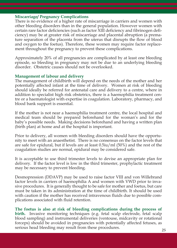# **Miscarriage/ Pregnancy Complications**

There is no evidence of a higher rate of miscarriage in carriers and women with other bleeding disorders than in the general population. However women with certain rare factor deficiencies (such as factor XIII deficiency and fibrinogen deficiency) may be at greater risk of miscarriage and placental abruption (a premature separation of the placenta from the uterus that disrupts the flow of blood and oxygen to the foetus). Therefore, these women may require factor replacement throughout the pregnancy to prevent these complications.

Approximately 20% of all pregnancies are complicated by at least one bleeding episode, so bleeding in pregnancy may not be due to an underlying bleeding disorder. Obstetric causes should not be overlooked.

# **Management of labour and delivery**

The management of childbirth will depend on the needs of the mother and her potentially affected infant at the time of delivery. Women at risk of bleeding should ideally be referred for antenatal care and delivery to a centre, where in addition to specialist high risk obstetrics, there is a haemophilia treatment centre or a haematologist with expertise in coagulation. Laboratory, pharmacy, and blood bank support is essential.

If the mother is not near a haemophilia treatment centre, the local hospital and medical team should be prepared beforehand for the woman's and for the baby's possible needs. Making decisions beforehand and having a written plan (birth plan) at home and at the hospital is important.

Prior to delivery, all women with bleeding disorders should have the opportunity to meet with an anaesthetist. There is no consensus on the factor levels that are safe for epidural, but if levels are at least 0.5iu/ml (50%) and the rest of the coagulation studies are normal, epidural may be considered safe.

It is acceptable to use third trimester levels to devise an appropriate plan for delivery. If the factor level is low in the third trimester, prophylactic treatment may be necessary to prevent bleeding.

Desmopression (DDAVP) may be used to raise factor VIII and von Willebrand factor levels in carriers of haemophilia A and women with VWD prior to invasive procedures. It is generally thought to be safe for mother and foetus, but care must be taken in its administration at the time of childbirth. It should be used with caution if the mother has received intravenous fluids due to possible complications associated with fluid retention.

**The foetus is also at risk of bleeding complications during the process of birth.** Invasive monitoring techniques (e.g. fetal scalp electrode, fetal scalp blood sampling) and instrumental deliveries (ventouse, midcavity or rotational forceps) should be avoided in pregnancies with potentially affected fetuses, as serious head bleeding may result from these procedures. *<sup>25</sup>*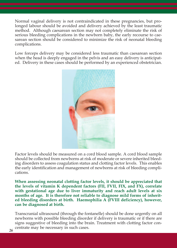Normal vaginal delivery is not contraindicated in these pregnancies, but prolonged labour should be avoided and delivery achieved by the least traumatic method. Although caesarean section may not completely eliminate the risk of serious bleeding complications in the newborn baby, the early recourse to caesarean section should be considered to minimize the risk of neonatal bleeding complications.

Low forceps delivery may be considered less traumatic than caesarean section when the head is deeply engaged in the pelvis and an easy delivery is anticipated. Delivery in these cases should be performed by an experienced obstetrician.



Factor levels should be measured on a cord blood sample. A cord blood sample should be collected from newborns at risk of moderate or severe inherited bleeding disorders to assess coagulation status and clotting factor levels. This enables the early identification and management of newborns at risk of bleeding complications.

**When assessing neonatal clotting factor levels, it should be appreciated that the levels of vitamin K dependent factors (FII, FVII, FIX, and FX), correlate with gestational age due to liver immaturity and reach adult levels at six months of age. It is therefore not reliable to diagnose mild forms of inherited bleeding disorders at birth. Haemophilia A (FVIII deficiency), however, can be diagnosed at birth.**

Transcranial ultrasound (through the fontanelle) should be done urgently on all newborns with possible bleeding disorder if delivery is traumatic or if there are signs suggestive of bleeding into the brain. Treatment with clotting factor concentrate may be necessary in such cases. *26*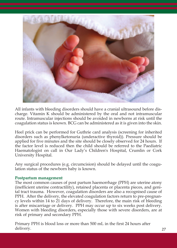

All infants with bleeding disorders should have a cranial ultrasound before discharge. Vitamin K should be administered by the oral and not intramuscular route. Intramuscular injections should be avoided in newborns at risk until the coagulation status is known. BCG can be administered as it is given into the skin.

Heel prick can be performed for Guthrie card analysis (screening for inherited disorders such as phenylketonuria (underactive thyroid)). Pressure should be applied for five minutes and the site should be closely observed for 24 hours. If the factor level is reduced then the child should be referred to the Paediatric Haematologist on call in Our Lady's Children's Hospital, Crumlin or Cork University Hospital.

Any surgical procedures (e.g. circumcision) should be delayed until the coagulation status of the newborn baby is known.

# **Postpartum management**

The most common causes of post partum haemorrhage (PPH) are uterine atony (inefficient uterine contractility), retained placenta or placenta pieces, and genital tract trauma. However, coagulation disorders are also a recognised cause of PPH. After the delivery, the elevated coagulation factors return to pre-pregnancy levels within 14 to 21 days of delivery. Therefore, the main risk of bleeding is after miscarriage or delivery. PPH may occur up to six weeks post delivery. Women with bleeding disorders, especially those with severe disorders, are at risk of primary and secondary PPH.

Primary PPH is blood loss or more than 500 mL in the first 24 hours after delivery. *27*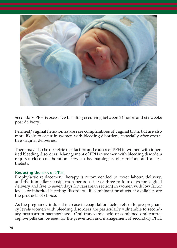

Secondary PPH is excessive bleeding occurring between 24 hours and six weeks post delivery.

Perineal/vaginal hematomas are rare complications of vaginal birth, but are also more likely to occur in women with bleeding disorders, especially after operative vaginal deliveries.

There may also be obstetric risk factors and causes of PPH in women with inherited bleeding disorders. Management of PPH in women with bleeding disorders requires close collaboration between haematologist, obstetricians and anaesthetists.

# **Reducing the risk of PPH**

Prophylactic replacement therapy is recommended to cover labour, delivery, and the immediate postpartum period (at least three to four days for vaginal delivery and five to seven days for caesarean section) in women with low factor levels or inherited bleeding disorders. Recombinant products, if available, are the products of choice.

As the pregnancy-induced increase in coagulation factor return to pre-pregnancy levels women with bleeding disorders are particularly vulnerable to secondary postpartum haemorrhage. Oral tranexamic acid or combined oral contraceptive pills can be used for the prevention and management of secondary PPH.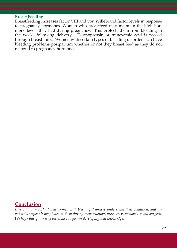#### **Breast Feeding**

Breastfeeding increases factor VIII and von Willebrand factor levels in response to pregnancy hormones. Women who breastfeed may maintain the high hormone levels they had during pregnancy. This protects them from bleeding in the weeks following delivery. Desmopressin or tranexamic acid is passed through breast milk. Women with certain types of bleeding disorders can have bleeding problems postpartum whether or not they breast feed as they do not respond to pregnancy hormones.

# **Conclusion**

*It is vitally important that women with bleeding disorders understand their condition, and the potential impact it may have on them during menstruation, pregnancy, menopause and surgery. We hope this guide is of assistance to you in developing that knowledge*.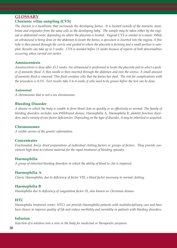# **GLOSSARY Chorionic villas sampling (CVS)**

The chorion is a membrane that surrounds the developing foetus. It is located outside of the amniotic membrane and originates from the same cells as the developing baby. The sample may be taken either by the vaginal or abdominal route, depending on where the placenta is located. Vaginal CVS is similar to a smear, While an ultrasound is being done on the abdomen to locate the foetus, a speculum is inserted into the vagina. A fine tube is then passed through the cervix and guided to where the placenta is forming and a small portion is sampled. Results can take up to 3 weeks. CVS is avoided before 11 weeks because of reports of limb abnormalities *occurring when carried out earlier*.

#### **Amniocentesis**

Amniocentesis is done after 15.5 weeks. An ultrasound is performed to locate the placenta and to select a pocket of amniotic fluid. A thin needle is then inserted through the abdomen and into the uterus. A small amount of amniotic fluid is removed. This fluid contains cells that the foetus has shed. The risk for complications with the procedure is 0.5%. Test results take 3 to 4 weeks if cells need to be grown before the test can be done.

#### **Autosomal**

*A chromosome that is not a sex chromosome.*

#### **Bleeding Disorder**

A disease in which the body is unable to form blood clots as quickly or as effectively as normal. The family of *bleeding disorders includes von Willebrand disease, Haemophilia A, Haemophilia B, platelet function disor*ders, and a variety of rare factor deficiencies. Depending on the type of disorder, it may be inherited or acquired.

#### **Chromosomes**

*A visible carrier of the genetic information.*

#### **Concentrates**

*Fractionated, freeze dried preparations of individual clotting factors or groups of factors. They provide convienent high-dose-to-volume material for the rapid treatment of bleeding episodes.*

# **Haemophilia**

*A group of inherited bleeding disorders in which the ability of blood to clot is impaired.*

# **Haemophilia A**

*Classic Haemophilia, due to deficiency of factor VIII, a blood factor necessary to normal clotting.*

# **Haemophilia B**

*Haemophilia due to deficiency of coagulation factor IX, also known as Christmas disease.*

# **HTC**

*Haemophilia treatment center. HTCs can provide Haemophilia patients with multidisciplinary care and have* been shown to improve quality of life and reduce morbidity and mortality in patients with bleeding disorders.

#### **Infusion**

*Injection of a solution into a vein in the body for medicinal or therapeutic purposes.*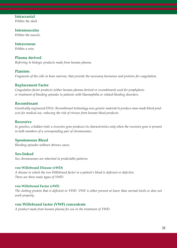# **Intracranial**

*Within the skull.*

**Intramuscular** *Within the muscle.*

**Intravenous** *Within a vein.*

# **Plasma derived**

*Referring to biologic products made from human plasma.*

#### **Platelets**

*Fragments of the cells in bone marrow, that provide the necessary hormones and proteins for coagulation.*

#### **Replacement Factor**

*Coagulation factor products (either human plasma derived or recombinant) used for prophylaxis or treatment of bleeding episodes in patients with Haemophilia or related bleeding disorders.*

#### **Recombinant**

*Genetically engineered DNA. Recombinant technology uses genetic material to produce man-made blood products for medical use, reducing the risk of viruses from human blood products.*

#### **Recessive**

In genetics, a hidden trait; a recessive gene produces its characteristics only when the recessive gene is present *in both members of a corresponding pair of chromosomes.*

#### **Spontaneous Bleed**

*Bleeding episodes without obvious cause.*

**Sex-linked** *Sex chromosomes are inherited in predictable patterns.*

#### **von Willebrand Disease (vWD)**

*A disease in which the von Willebrand factor in a patient's blood is deficient or defective. There are three main types of VWD.*

#### **von Willebrand Factor (vWF)**

The clotting protein that is deficient in VWD. VWF is either present at lower than normal levels or does not *work properly.*

#### **von Willebrand factor (VWF) concentrate**

*A product made from human plasma for use in the treatment of VWD.*